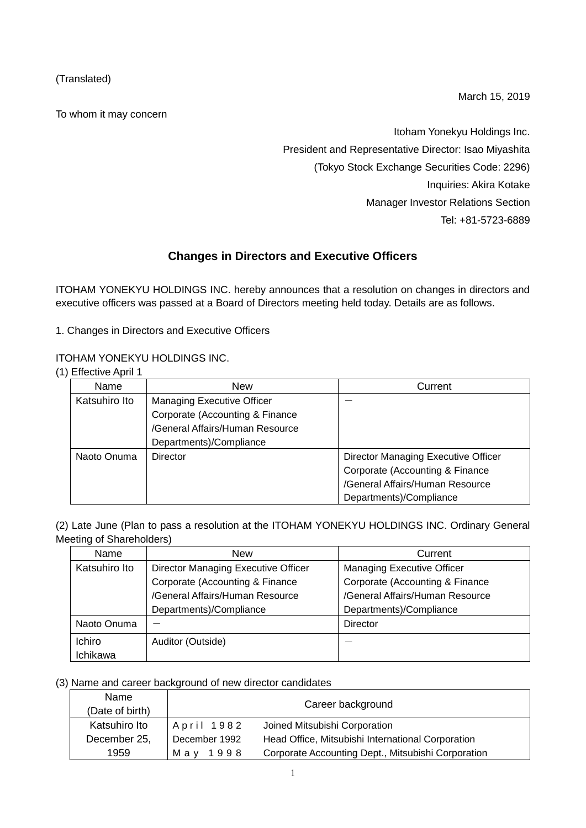(Translated)

To whom it may concern

March 15, 2019

Itoham Yonekyu Holdings Inc. President and Representative Director: Isao Miyashita (Tokyo Stock Exchange Securities Code: 2296) Inquiries: Akira Kotake Manager Investor Relations Section Tel: +81-5723-6889

# **Changes in Directors and Executive Officers**

ITOHAM YONEKYU HOLDINGS INC. hereby announces that a resolution on changes in directors and executive officers was passed at a Board of Directors meeting held today. Details are as follows.

1. Changes in Directors and Executive Officers

### ITOHAM YONEKYU HOLDINGS INC.

(1) Effective April 1

| Name          | New                             | Current                             |
|---------------|---------------------------------|-------------------------------------|
| Katsuhiro Ito | Managing Executive Officer      |                                     |
|               | Corporate (Accounting & Finance |                                     |
|               | /General Affairs/Human Resource |                                     |
|               | Departments)/Compliance         |                                     |
| Naoto Onuma   | Director                        | Director Managing Executive Officer |
|               |                                 | Corporate (Accounting & Finance     |
|               |                                 | /General Affairs/Human Resource     |
|               |                                 | Departments)/Compliance             |

(2) Late June (Plan to pass a resolution at the ITOHAM YONEKYU HOLDINGS INC. Ordinary General Meeting of Shareholders)

| Name          | <b>New</b>                          | Current                           |
|---------------|-------------------------------------|-----------------------------------|
| Katsuhiro Ito | Director Managing Executive Officer | <b>Managing Executive Officer</b> |
|               | Corporate (Accounting & Finance     | Corporate (Accounting & Finance   |
|               | /General Affairs/Human Resource     | /General Affairs/Human Resource   |
|               | Departments)/Compliance             | Departments)/Compliance           |
| Naoto Onuma   |                                     | <b>Director</b>                   |
| Ichiro        | Auditor (Outside)                   |                                   |
| Ichikawa      |                                     |                                   |

## (3) Name and career background of new director candidates

| Name<br>(Date of birth) |               | Career background                                  |
|-------------------------|---------------|----------------------------------------------------|
| Katsuhiro Ito           | April 1982    | Joined Mitsubishi Corporation                      |
| December 25,            | December 1992 | Head Office, Mitsubishi International Corporation  |
| 1959                    | May 1998      | Corporate Accounting Dept., Mitsubishi Corporation |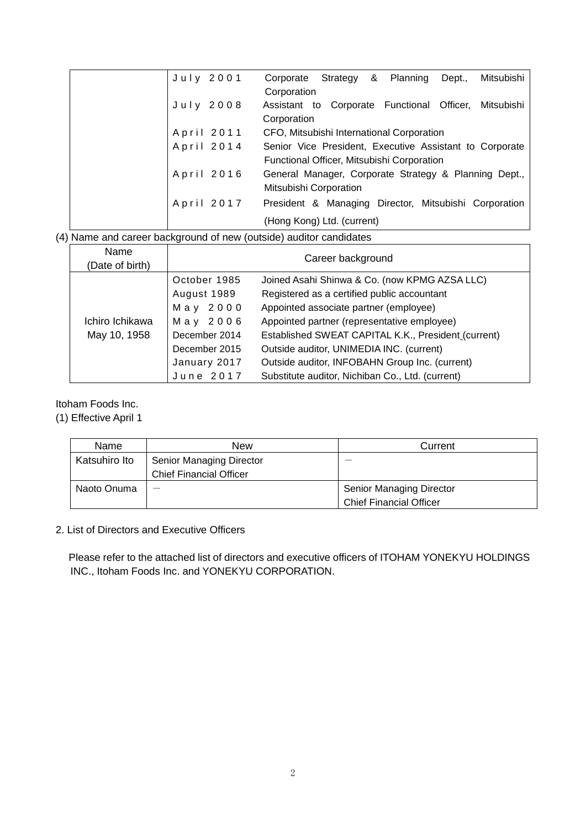|  | July 2001  | Corporate Strategy & Planning              |  | Dept., | Mitsubishi                                              |
|--|------------|--------------------------------------------|--|--------|---------------------------------------------------------|
|  |            | Corporation                                |  |        |                                                         |
|  | July 2008  |                                            |  |        | Assistant to Corporate Functional Officer, Mitsubishi   |
|  |            | Corporation                                |  |        |                                                         |
|  | April 2011 | CFO, Mitsubishi International Corporation  |  |        |                                                         |
|  | April 2014 |                                            |  |        | Senior Vice President, Executive Assistant to Corporate |
|  |            | Functional Officer, Mitsubishi Corporation |  |        |                                                         |
|  | April 2016 |                                            |  |        | General Manager, Corporate Strategy & Planning Dept.,   |
|  |            | Mitsubishi Corporation                     |  |        |                                                         |
|  | April 2017 |                                            |  |        | President & Managing Director, Mitsubishi Corporation   |
|  |            | (Hong Kong) Ltd. (current)                 |  |        |                                                         |

(4) Name and career background of new (outside) auditor candidates

| Name<br>(Date of birth) | Career background |                                                     |  |  |
|-------------------------|-------------------|-----------------------------------------------------|--|--|
|                         | October 1985      | Joined Asahi Shinwa & Co. (now KPMG AZSA LLC)       |  |  |
|                         | August 1989       | Registered as a certified public accountant         |  |  |
|                         | May 2000          | Appointed associate partner (employee)              |  |  |
| Ichiro Ichikawa         | May 2006          | Appointed partner (representative employee)         |  |  |
| May 10, 1958            | December 2014     | Established SWEAT CAPITAL K.K., President (current) |  |  |
|                         | December 2015     | Outside auditor, UNIMEDIA INC. (current)            |  |  |
|                         | January 2017      | Outside auditor, INFOBAHN Group Inc. (current)      |  |  |
|                         | June 2017         | Substitute auditor, Nichiban Co., Ltd. (current)    |  |  |

### Itoham Foods Inc.

(1) Effective April 1

| Name          | New                            | Current                         |
|---------------|--------------------------------|---------------------------------|
| Katsuhiro Ito | Senior Managing Director       | $\overline{\phantom{a}}$        |
|               | <b>Chief Financial Officer</b> |                                 |
| Naoto Onuma   |                                | <b>Senior Managing Director</b> |
|               |                                | <b>Chief Financial Officer</b>  |

### 2. List of Directors and Executive Officers

 Please refer to the attached list of directors and executive officers of ITOHAM YONEKYU HOLDINGS INC., Itoham Foods Inc. and YONEKYU CORPORATION.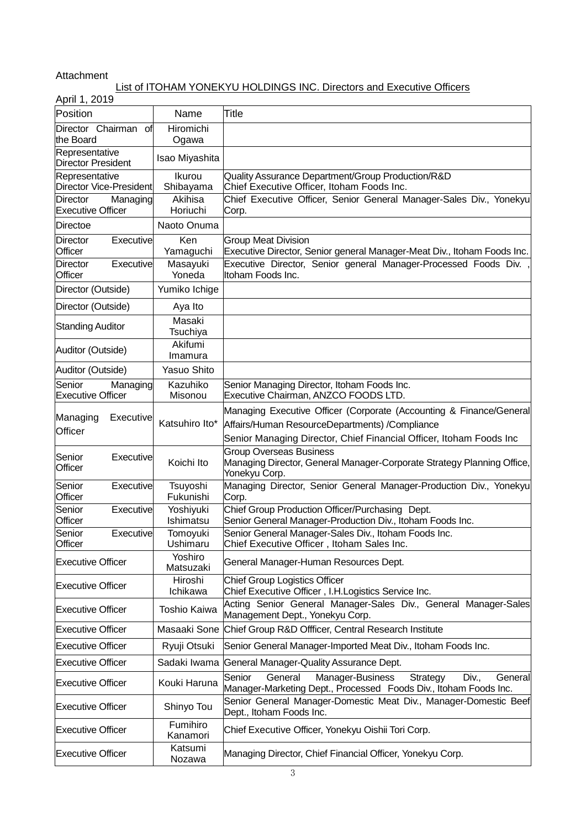### Attachment

### List of ITOHAM YONEKYU HOLDINGS INC. Directors and Executive Officers

| April 1, 2019                                           |                        |                                                                                                                                           |
|---------------------------------------------------------|------------------------|-------------------------------------------------------------------------------------------------------------------------------------------|
| Position                                                | Name                   | Title                                                                                                                                     |
| Director Chairman of<br>the Board                       | Hiromichi<br>Ogawa     |                                                                                                                                           |
| Representative<br><b>Director President</b>             | Isao Miyashita         |                                                                                                                                           |
| Representative                                          | Ikurou                 | Quality Assurance Department/Group Production/R&D                                                                                         |
| <b>Director Vice-President</b>                          | Shibayama              | Chief Executive Officer, Itoham Foods Inc.                                                                                                |
| <b>Director</b><br>Managing<br><b>Executive Officer</b> | Akihisa<br>Horiuchi    | Chief Executive Officer, Senior General Manager-Sales Div., Yonekyu<br>Corp.                                                              |
| Directoe                                                | Naoto Onuma            |                                                                                                                                           |
|                                                         |                        |                                                                                                                                           |
| Director<br><b>Executive</b><br>Officer                 | Ken<br>Yamaguchi       | <b>Group Meat Division</b><br>Executive Director, Senior general Manager-Meat Div., Itoham Foods Inc.                                     |
| Director<br><b>Executive</b><br>Officer                 | Masayuki<br>Yoneda     | Executive Director, Senior general Manager-Processed Foods Div.<br>Itoham Foods Inc.                                                      |
| Director (Outside)                                      | Yumiko Ichige          |                                                                                                                                           |
| Director (Outside)                                      | Aya Ito                |                                                                                                                                           |
| <b>Standing Auditor</b>                                 | Masaki<br>Tsuchiya     |                                                                                                                                           |
| Auditor (Outside)                                       | Akifumi<br>Imamura     |                                                                                                                                           |
| Auditor (Outside)                                       | Yasuo Shito            |                                                                                                                                           |
| Senior<br>Managing<br><b>Executive Officer</b>          | Kazuhiko<br>Misonou    | Senior Managing Director, Itoham Foods Inc.<br>Executive Chairman, ANZCO FOODS LTD.                                                       |
|                                                         |                        | Managing Executive Officer (Corporate (Accounting & Finance/General                                                                       |
| Managing<br><b>Executive</b><br><b>Officer</b>          | Katsuhiro Ito*         | Affairs/Human ResourceDepartments) /Compliance                                                                                            |
|                                                         |                        | Senior Managing Director, Chief Financial Officer, Itoham Foods Inc                                                                       |
| Senior<br><b>Executive</b><br>Officer                   | Koichi Ito             | <b>Group Overseas Business</b><br>Managing Director, General Manager-Corporate Strategy Planning Office,<br>Yonekyu Corp.                 |
| Senior<br>Executive<br>Officer                          | Tsuyoshi<br>Fukunishi  | Managing Director, Senior General Manager-Production Div., Yonekyu<br>Corp.                                                               |
| Senior<br>Executive<br>Officer                          | Yoshiyuki<br>Ishimatsu | Chief Group Production Officer/Purchasing Dept.<br>Senior General Manager-Production Div., Itoham Foods Inc.                              |
| Senior<br><b>Executivel</b><br>Officer                  | Tomoyuki<br>Ushimaru   | Senior General Manager-Sales Div., Itoham Foods Inc.<br>Chief Executive Officer, Itoham Sales Inc.                                        |
| <b>Executive Officer</b>                                | Yoshiro<br>Matsuzaki   | General Manager-Human Resources Dept.                                                                                                     |
| <b>Executive Officer</b>                                | Hiroshi<br>Ichikawa    | <b>Chief Group Logistics Officer</b><br>Chief Executive Officer, I.H.Logistics Service Inc.                                               |
| <b>Executive Officer</b>                                | <b>Toshio Kaiwa</b>    | Acting Senior General Manager-Sales Div., General Manager-Sales<br>Management Dept., Yonekyu Corp.                                        |
| <b>Executive Officer</b>                                |                        | Masaaki Sone Chief Group R&D Offficer, Central Research Institute                                                                         |
| <b>Executive Officer</b>                                | Ryuji Otsuki           | Senior General Manager-Imported Meat Div., Itoham Foods Inc.                                                                              |
| <b>Executive Officer</b>                                | Sadaki Iwama           | General Manager-Quality Assurance Dept.                                                                                                   |
| <b>Executive Officer</b>                                | Kouki Haruna           | General<br>Manager-Business<br>Strategy<br>Div.,<br>General<br>Senior<br>Manager-Marketing Dept., Processed Foods Div., Itoham Foods Inc. |
| <b>Executive Officer</b>                                | Shinyo Tou             | Senior General Manager-Domestic Meat Div., Manager-Domestic Beef<br>Dept., Itoham Foods Inc.                                              |
| <b>Executive Officer</b>                                | Fumihiro<br>Kanamori   | Chief Executive Officer, Yonekyu Oishii Tori Corp.                                                                                        |
| <b>Executive Officer</b>                                | Katsumi<br>Nozawa      | Managing Director, Chief Financial Officer, Yonekyu Corp.                                                                                 |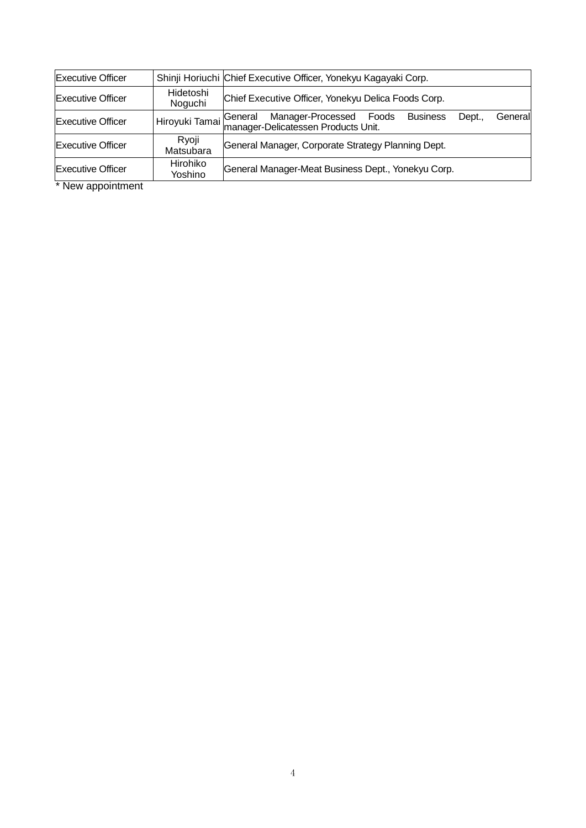| <b>Executive Officer</b> |                      | Shinji Horiuchi Chief Executive Officer, Yonekyu Kagayaki Corp.                                                 |
|--------------------------|----------------------|-----------------------------------------------------------------------------------------------------------------|
| <b>Executive Officer</b> | Hidetoshi<br>Noguchi | Chief Executive Officer, Yonekyu Delica Foods Corp.                                                             |
| <b>Executive Officer</b> | Hiroyuki Tamai       | General Manager-Processed Foods<br> manager-Delicatessen Products Unit.<br><b>Business</b><br>Dept.,<br>General |
| <b>Executive Officer</b> | Ryoji<br>Matsubara   | General Manager, Corporate Strategy Planning Dept.                                                              |
| <b>Executive Officer</b> | Hirohiko<br>Yoshino  | General Manager-Meat Business Dept., Yonekyu Corp.                                                              |

\* New appointment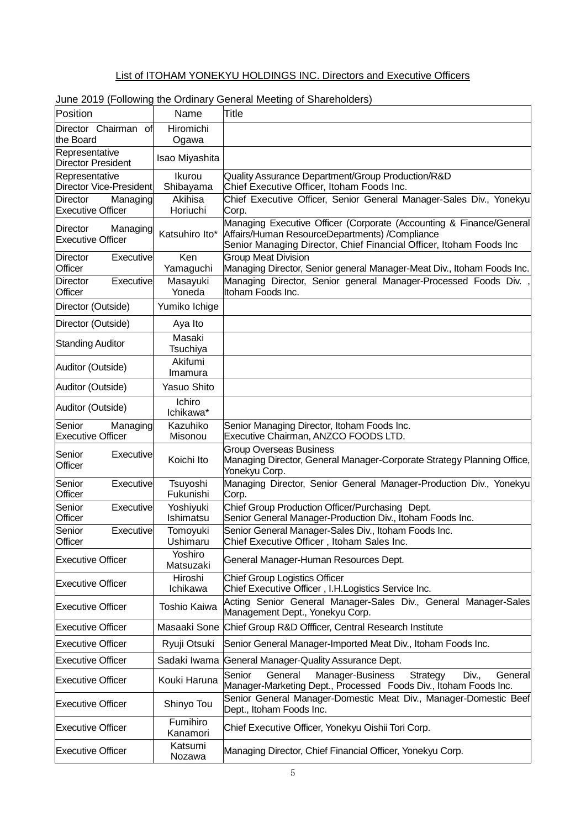## List of ITOHAM YONEKYU HOLDINGS INC. Directors and Executive Officers

| Position                                         | Name                   | Title                                                                                                                                                                                        |
|--------------------------------------------------|------------------------|----------------------------------------------------------------------------------------------------------------------------------------------------------------------------------------------|
| Director Chairman<br>of<br>lthe Board            | Hiromichi<br>Ogawa     |                                                                                                                                                                                              |
| Representative<br><b>Director President</b>      | Isao Miyashita         |                                                                                                                                                                                              |
| Representative<br>Director Vice-President        | Ikurou<br>Shibayama    | Quality Assurance Department/Group Production/R&D<br>Chief Executive Officer, Itoham Foods Inc.                                                                                              |
| Director<br>Managing<br><b>Executive Officer</b> | Akihisa<br>Horiuchi    | Chief Executive Officer, Senior General Manager-Sales Div., Yonekyu<br>Corp.                                                                                                                 |
| Director<br>Managing<br><b>Executive Officer</b> | Katsuhiro Ito*         | Managing Executive Officer (Corporate (Accounting & Finance/General<br>Affairs/Human ResourceDepartments) /Compliance<br>Senior Managing Director, Chief Financial Officer, Itoham Foods Inc |
| <b>Director</b><br><b>Executive</b><br>Officer   | Ken<br>Yamaguchi       | <b>Group Meat Division</b><br>Managing Director, Senior general Manager-Meat Div., Itoham Foods Inc.                                                                                         |
| <b>Director</b><br><b>Executive</b><br>Officer   | Masayuki<br>Yoneda     | Managing Director, Senior general Manager-Processed Foods Div.<br>Itoham Foods Inc.                                                                                                          |
| Director (Outside)                               | Yumiko Ichige          |                                                                                                                                                                                              |
| Director (Outside)                               | Aya Ito                |                                                                                                                                                                                              |
| <b>Standing Auditor</b>                          | Masaki<br>Tsuchiya     |                                                                                                                                                                                              |
| Auditor (Outside)                                | Akifumi<br>Imamura     |                                                                                                                                                                                              |
| Auditor (Outside)                                | Yasuo Shito            |                                                                                                                                                                                              |
| Auditor (Outside)                                | Ichiro<br>Ichikawa*    |                                                                                                                                                                                              |
| Senior<br>Managing<br><b>Executive Officer</b>   | Kazuhiko<br>Misonou    | Senior Managing Director, Itoham Foods Inc.<br>Executive Chairman, ANZCO FOODS LTD.                                                                                                          |
| Senior<br><b>Executive</b><br>Officer            | Koichi Ito             | <b>Group Overseas Business</b><br>Managing Director, General Manager-Corporate Strategy Planning Office,<br>Yonekyu Corp.                                                                    |
| Senior<br><b>Executive</b><br>Officer            | Tsuyoshi<br>Fukunishi  | Managing Director, Senior General Manager-Production Div., Yonekyu<br>Corp.                                                                                                                  |
| Senior<br><b>Executive</b><br>Officer            | Yoshiyuki<br>Ishimatsu | Chief Group Production Officer/Purchasing Dept.<br>Senior General Manager-Production Div., Itoham Foods Inc.                                                                                 |
| Senior<br>Executive<br>Officer                   | Tomoyuki<br>Ushimaru   | Senior General Manager-Sales Div., Itoham Foods Inc.<br>Chief Executive Officer, Itoham Sales Inc.                                                                                           |
| <b>Executive Officer</b>                         | Yoshiro<br>Matsuzaki   | General Manager-Human Resources Dept.                                                                                                                                                        |
| <b>Executive Officer</b>                         | Hiroshi<br>Ichikawa    | <b>Chief Group Logistics Officer</b><br>Chief Executive Officer, I.H.Logistics Service Inc.                                                                                                  |
| <b>Executive Officer</b>                         | <b>Toshio Kaiwa</b>    | Acting Senior General Manager-Sales Div., General Manager-Sales<br>Management Dept., Yonekyu Corp.                                                                                           |
| <b>Executive Officer</b>                         | Masaaki Sone           | Chief Group R&D Offficer, Central Research Institute                                                                                                                                         |
| <b>Executive Officer</b>                         | Ryuji Otsuki           | Senior General Manager-Imported Meat Div., Itoham Foods Inc.                                                                                                                                 |
| <b>Executive Officer</b>                         | Sadaki Iwama           | General Manager-Quality Assurance Dept.                                                                                                                                                      |
| <b>Executive Officer</b>                         | Kouki Haruna           | Strategy<br>General<br>Manager-Business<br>Div.,<br>General<br>Senior<br>Manager-Marketing Dept., Processed Foods Div., Itoham Foods Inc.                                                    |
| <b>Executive Officer</b>                         | Shinyo Tou             | Senior General Manager-Domestic Meat Div., Manager-Domestic Beef<br>Dept., Itoham Foods Inc.                                                                                                 |
| <b>Executive Officer</b>                         | Fumihiro<br>Kanamori   | Chief Executive Officer, Yonekyu Oishii Tori Corp.                                                                                                                                           |
| <b>Executive Officer</b>                         | Katsumi<br>Nozawa      | Managing Director, Chief Financial Officer, Yonekyu Corp.                                                                                                                                    |

### June 2019 (Following the Ordinary General Meeting of Shareholders)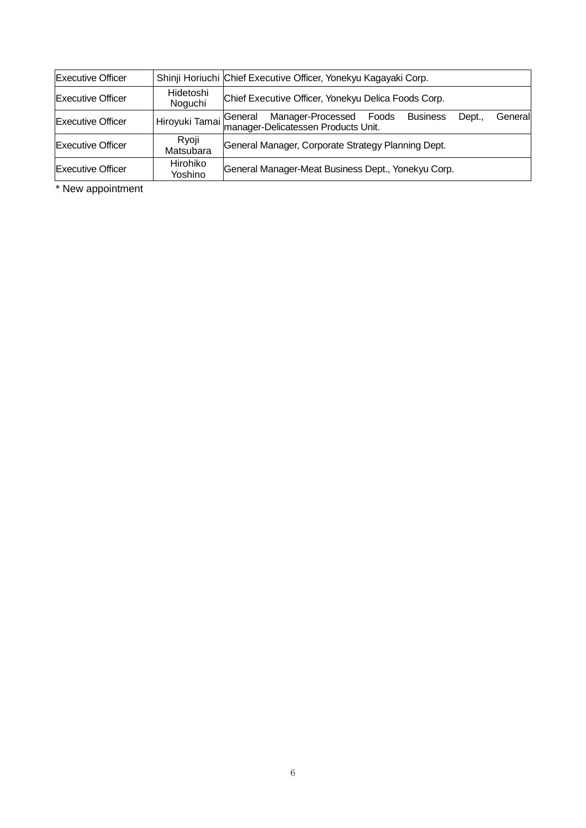| <b>Executive Officer</b> |                      | Shinji Horiuchi Chief Executive Officer, Yonekyu Kagayaki Corp.                                                            |
|--------------------------|----------------------|----------------------------------------------------------------------------------------------------------------------------|
| <b>Executive Officer</b> | Hidetoshi<br>Noguchi | Chief Executive Officer, Yonekyu Delica Foods Corp.                                                                        |
| <b>Executive Officer</b> | Hiroyuki Tamai       | <b>Business</b><br>General Manager-Processed Foods<br> manager-Delicatessen Products Unit.<br>Dept.,<br>General<br>General |
| <b>Executive Officer</b> | Ryoji<br>Matsubara   | General Manager, Corporate Strategy Planning Dept.                                                                         |
| <b>Executive Officer</b> | Hirohiko<br>Yoshino  | General Manager-Meat Business Dept., Yonekyu Corp.                                                                         |

\* New appointment